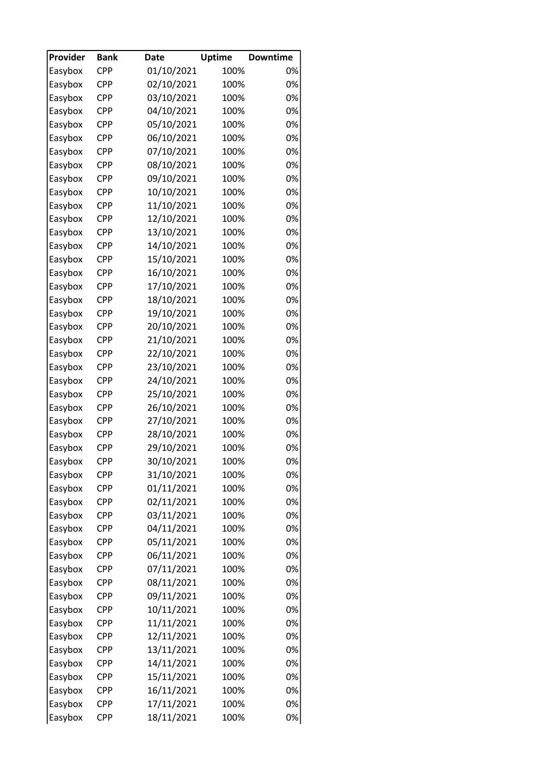| Provider | <b>Bank</b> | <b>Date</b> | <b>Uptime</b> | <b>Downtime</b> |
|----------|-------------|-------------|---------------|-----------------|
| Easybox  | <b>CPP</b>  | 01/10/2021  | 100%          | 0%              |
| Easybox  | <b>CPP</b>  | 02/10/2021  | 100%          | 0%              |
| Easybox  | <b>CPP</b>  | 03/10/2021  | 100%          | 0%              |
| Easybox  | <b>CPP</b>  | 04/10/2021  | 100%          | 0%              |
| Easybox  | <b>CPP</b>  | 05/10/2021  | 100%          | 0%              |
| Easybox  | <b>CPP</b>  | 06/10/2021  | 100%          | 0%              |
| Easybox  | <b>CPP</b>  | 07/10/2021  | 100%          | 0%              |
| Easybox  | <b>CPP</b>  | 08/10/2021  | 100%          | 0%              |
| Easybox  | <b>CPP</b>  | 09/10/2021  | 100%          | 0%              |
| Easybox  | <b>CPP</b>  | 10/10/2021  | 100%          | 0%              |
| Easybox  | <b>CPP</b>  | 11/10/2021  | 100%          | 0%              |
| Easybox  | <b>CPP</b>  | 12/10/2021  | 100%          | 0%              |
| Easybox  | <b>CPP</b>  | 13/10/2021  | 100%          | 0%              |
| Easybox  | <b>CPP</b>  | 14/10/2021  | 100%          | 0%              |
| Easybox  | <b>CPP</b>  | 15/10/2021  | 100%          | 0%              |
| Easybox  | <b>CPP</b>  | 16/10/2021  | 100%          | 0%              |
| Easybox  | <b>CPP</b>  | 17/10/2021  | 100%          | 0%              |
| Easybox  | <b>CPP</b>  | 18/10/2021  | 100%          | 0%              |
| Easybox  | <b>CPP</b>  | 19/10/2021  | 100%          | 0%              |
| Easybox  | <b>CPP</b>  | 20/10/2021  | 100%          | 0%              |
| Easybox  | <b>CPP</b>  | 21/10/2021  | 100%          | 0%              |
| Easybox  | <b>CPP</b>  | 22/10/2021  | 100%          | 0%              |
| Easybox  | <b>CPP</b>  | 23/10/2021  | 100%          | 0%              |
| Easybox  | <b>CPP</b>  | 24/10/2021  | 100%          | 0%              |
|          | <b>CPP</b>  | 25/10/2021  | 100%          | 0%              |
| Easybox  |             |             |               | 0%              |
| Easybox  | CPP<br>CPP  | 26/10/2021  | 100%          | 0%              |
| Easybox  |             | 27/10/2021  | 100%          |                 |
| Easybox  | <b>CPP</b>  | 28/10/2021  | 100%          | 0%              |
| Easybox  | <b>CPP</b>  | 29/10/2021  | 100%          | 0%              |
| Easybox  | <b>CPP</b>  | 30/10/2021  | 100%          | 0%              |
| Easybox  | <b>CPP</b>  | 31/10/2021  | 100%          | 0%              |
| Easybox  | CPP         | 01/11/2021  | 100%          | 0%              |
| Easybox  | CPP         | 02/11/2021  | 100%          | 0%              |
| Easybox  | <b>CPP</b>  | 03/11/2021  | 100%          | 0%              |
| Easybox  | CPP         | 04/11/2021  | 100%          | 0%              |
| Easybox  | <b>CPP</b>  | 05/11/2021  | 100%          | 0%              |
| Easybox  | <b>CPP</b>  | 06/11/2021  | 100%          | 0%              |
| Easybox  | <b>CPP</b>  | 07/11/2021  | 100%          | 0%              |
| Easybox  | <b>CPP</b>  | 08/11/2021  | 100%          | 0%              |
| Easybox  | CPP         | 09/11/2021  | 100%          | 0%              |
| Easybox  | <b>CPP</b>  | 10/11/2021  | 100%          | 0%              |
| Easybox  | <b>CPP</b>  | 11/11/2021  | 100%          | 0%              |
| Easybox  | <b>CPP</b>  | 12/11/2021  | 100%          | 0%              |
| Easybox  | <b>CPP</b>  | 13/11/2021  | 100%          | 0%              |
| Easybox  | <b>CPP</b>  | 14/11/2021  | 100%          | 0%              |
| Easybox  | <b>CPP</b>  | 15/11/2021  | 100%          | 0%              |
| Easybox  | CPP         | 16/11/2021  | 100%          | 0%              |
| Easybox  | <b>CPP</b>  | 17/11/2021  | 100%          | 0%              |
| Easybox  | <b>CPP</b>  | 18/11/2021  | 100%          | 0%              |